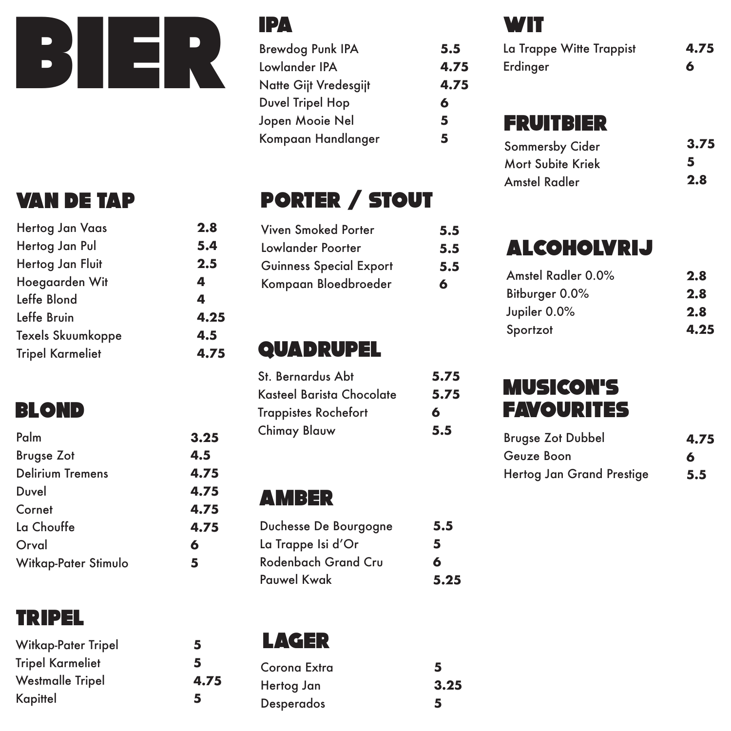

| Hertog Jan Vaas         |
|-------------------------|
| Hertog Jan Pul          |
| Hertog Jan Fluit        |
| Hoegaarden Wit          |
| Leffe Blond             |
| Leffe Bruin             |
| Texels Skuumkoppe       |
| <b>Tripel Karmeliet</b> |
|                         |

# BLOND

| Palm                    | 3.25 |
|-------------------------|------|
| <b>Brugse Zot</b>       | 4.5  |
| <b>Delirium Tremens</b> | 4.75 |
| Duvel                   | 4.75 |
| Cornet                  | 4.75 |
| La Chouffe              | 4.75 |
| Orval                   | 6    |
| Witkap-Pater Stimulo    | 5    |

## TRIPEL

| 5    |
|------|
| 5    |
| 4.75 |
| 5    |
|      |

#### IPA

**2.8 5.4 2.5 4 4 4.25 4.5 4.75**

| Brewdog Punk IPA      | 5.5  |
|-----------------------|------|
| Lowlander IPA         | 4.75 |
| Natte Gijt Vredesgijt | 4.75 |
| Duvel Tripel Hop      | 6    |
| Jopen Mooie Nel       | 5    |
| Kompaan Handlanger    | 5    |
|                       |      |

# VAN DE TAP PORTER / STOUT

| Viven Smoked Porter            | 5.5 |
|--------------------------------|-----|
| Lowlander Poorter              | 5.5 |
| <b>Guinness Special Export</b> | 5.5 |
| Kompaan Bloedbroeder           | 6   |

## QUADRUPEL

| St. Bernardus Abt           | 5.75 |                          |
|-----------------------------|------|--------------------------|
| Kasteel Barista Chocolate   | 5.75 | <b>MUSICON'</b>          |
| <b>Trappistes Rochefort</b> | 6    | <b>FAVOURIT</b>          |
| <b>Chimay Blauw</b>         | 5.5  | <b>Brugse Zot Dubbel</b> |

#### amber

| Duchesse De Bourgogne | 5.5  |
|-----------------------|------|
| La Trappe Isi d'Or    | 5    |
| Rodenbach Grand Cru   | 6    |
| <b>Pauwel Kwak</b>    | 5.25 |

LAGER

| Corona Extra      | 5    |
|-------------------|------|
| Hertog Jan        | 3.25 |
| <b>Desperados</b> | 5    |

#### **WIT**

| La Trappe Witte Trappist            | 4.75 |
|-------------------------------------|------|
| Erdinger                            | 6    |
| FRUITBIER<br><b>Sommersby Cider</b> | 3.75 |

| <b>Sommersby Cider</b> | 3.75 |
|------------------------|------|
| Mort Subite Kriek      | 5    |
| <b>Amstel Radler</b>   | 2.8  |

# alcoholvrij

| Amstel Radler 0.0% | 2.8  |
|--------------------|------|
| Bitburger 0.0%     | 2.8  |
| Jupiler 0.0%       | 2.8  |
| Sportzot           | 4.25 |

## Musicon's **FAVOURITES**

| <b>Brugse Zot Dubbel</b>  | 4.75 |
|---------------------------|------|
| Geuze Boon                | 6    |
| Hertog Jan Grand Prestige | 5.5  |